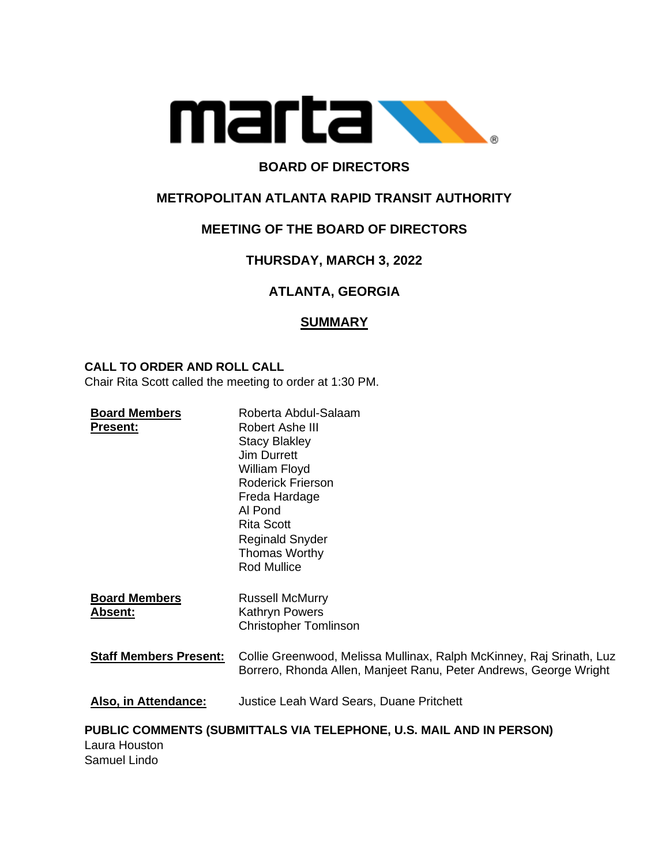

## **BOARD OF DIRECTORS**

## **METROPOLITAN ATLANTA RAPID TRANSIT AUTHORITY**

## **MEETING OF THE BOARD OF DIRECTORS**

# **THURSDAY, MARCH 3, 2022**

# **ATLANTA, GEORGIA**

## **SUMMARY**

#### **CALL TO ORDER AND ROLL CALL**

Chair Rita Scott called the meeting to order at 1:30 PM.

| <b>Board Members</b><br><b>Present:</b>                                              | Roberta Abdul-Salaam<br>Robert Ashe III<br><b>Stacy Blakley</b><br><b>Jim Durrett</b><br>William Floyd<br>Roderick Frierson<br>Freda Hardage<br>Al Pond<br><b>Rita Scott</b><br><b>Reginald Snyder</b><br>Thomas Worthy |
|--------------------------------------------------------------------------------------|-------------------------------------------------------------------------------------------------------------------------------------------------------------------------------------------------------------------------|
|                                                                                      | <b>Rod Mullice</b>                                                                                                                                                                                                      |
| <b>Board Members</b><br><b>Absent:</b>                                               | <b>Russell McMurry</b><br>Kathryn Powers<br><b>Christopher Tomlinson</b>                                                                                                                                                |
| <b>Staff Members Present:</b>                                                        | Collie Greenwood, Melissa Mullinax, Ralph McKinney, Raj Srinath, Luz<br>Borrero, Rhonda Allen, Manjeet Ranu, Peter Andrews, George Wright                                                                               |
| Also, in Attendance:                                                                 | <b>Justice Leah Ward Sears, Duane Pritchett</b>                                                                                                                                                                         |
| PUBLIC COMMENTS (SUBMITTALS VIA TELEPHONE, U.S. MAIL AND IN PERSON)<br>Laura Houston |                                                                                                                                                                                                                         |

Samuel Lindo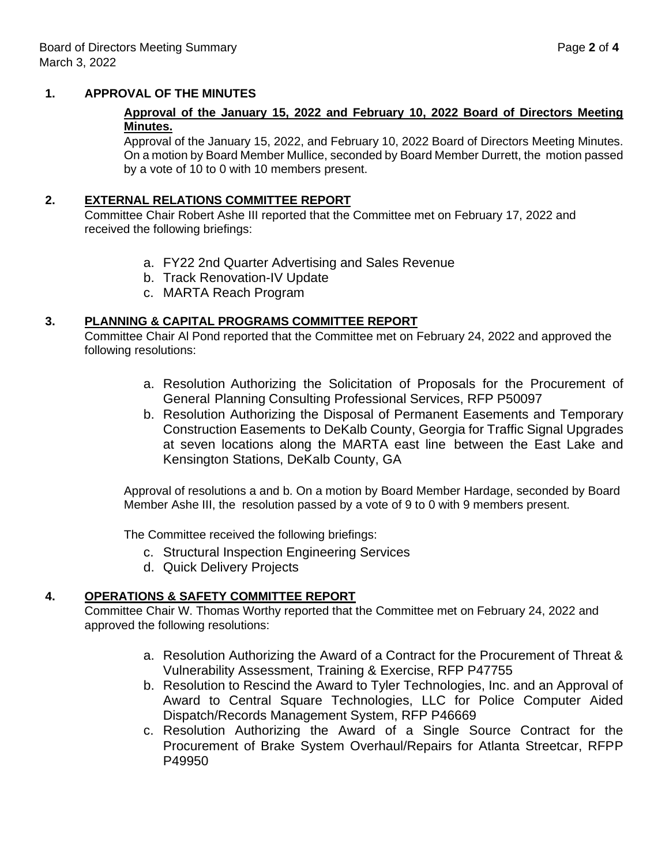#### **1. APPROVAL OF THE MINUTES**

### **Approval of the January 15, 2022 and February 10, 2022 Board of Directors Meeting Minutes.**

Approval of the January 15, 2022, and February 10, 2022 Board of Directors Meeting Minutes. On a motion by Board Member Mullice, seconded by Board Member Durrett, the motion passed by a vote of 10 to 0 with 10 members present.

### **2. EXTERNAL RELATIONS COMMITTEE REPORT**

Committee Chair Robert Ashe III reported that the Committee met on February 17, 2022 and received the following briefings:

- a. FY22 2nd Quarter Advertising and Sales Revenue
- b. Track Renovation-IV Update
- c. MARTA Reach Program

### **3. PLANNING & CAPITAL PROGRAMS COMMITTEE REPORT**

Committee Chair Al Pond reported that the Committee met on February 24, 2022 and approved the following resolutions:

- a. Resolution Authorizing the Solicitation of Proposals for the Procurement of General Planning Consulting Professional Services, RFP P50097
- b. Resolution Authorizing the Disposal of Permanent Easements and Temporary Construction Easements to DeKalb County, Georgia for Traffic Signal Upgrades at seven locations along the MARTA east line between the East Lake and Kensington Stations, DeKalb County, GA

Approval of resolutions a and b. On a motion by Board Member Hardage, seconded by Board Member Ashe III, the resolution passed by a vote of 9 to 0 with 9 members present.

The Committee received the following briefings:

- c. Structural Inspection Engineering Services
- d. Quick Delivery Projects

## **4. OPERATIONS & SAFETY COMMITTEE REPORT**

Committee Chair W. Thomas Worthy reported that the Committee met on February 24, 2022 and approved the following resolutions:

- a. Resolution Authorizing the Award of a Contract for the Procurement of Threat & Vulnerability Assessment, Training & Exercise, RFP P47755
- b. Resolution to Rescind the Award to Tyler Technologies, Inc. and an Approval of Award to Central Square Technologies, LLC for Police Computer Aided Dispatch/Records Management System, RFP P46669
- c. Resolution Authorizing the Award of a Single Source Contract for the Procurement of Brake System Overhaul/Repairs for Atlanta Streetcar, RFPP P49950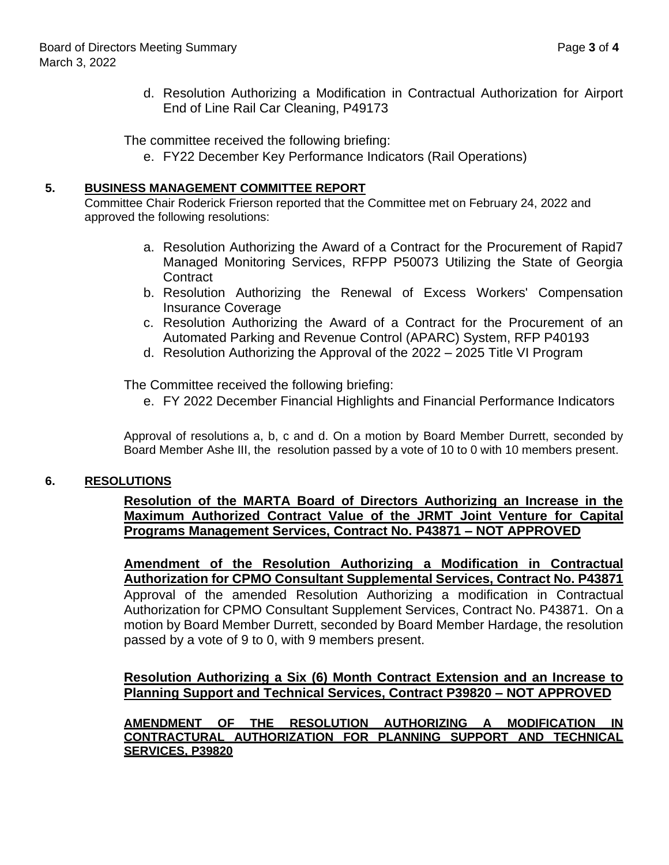d. Resolution Authorizing a Modification in Contractual Authorization for Airport End of Line Rail Car Cleaning, P49173

The committee received the following briefing:

e. FY22 December Key Performance Indicators (Rail Operations)

## **5. BUSINESS MANAGEMENT COMMITTEE REPORT**

Committee Chair Roderick Frierson reported that the Committee met on February 24, 2022 and approved the following resolutions:

- a. Resolution Authorizing the Award of a Contract for the Procurement of Rapid7 Managed Monitoring Services, RFPP P50073 Utilizing the State of Georgia **Contract**
- b. Resolution Authorizing the Renewal of Excess Workers' Compensation Insurance Coverage
- c. Resolution Authorizing the Award of a Contract for the Procurement of an Automated Parking and Revenue Control (APARC) System, RFP P40193
- d. Resolution Authorizing the Approval of the 2022 2025 Title VI Program

The Committee received the following briefing:

e. FY 2022 December Financial Highlights and Financial Performance Indicators

Approval of resolutions a, b, c and d. On a motion by Board Member Durrett, seconded by Board Member Ashe III, the resolution passed by a vote of 10 to 0 with 10 members present.

## **6. RESOLUTIONS**

**Resolution of the MARTA Board of Directors Authorizing an Increase in the Maximum Authorized Contract Value of the JRMT Joint Venture for Capital Programs Management Services, Contract No. P43871 – NOT APPROVED**

**Amendment of the Resolution Authorizing a Modification in Contractual Authorization for CPMO Consultant Supplemental Services, Contract No. P43871** Approval of the amended Resolution Authorizing a modification in Contractual Authorization for CPMO Consultant Supplement Services, Contract No. P43871. On a motion by Board Member Durrett, seconded by Board Member Hardage, the resolution passed by a vote of 9 to 0, with 9 members present.

**Resolution Authorizing a Six (6) Month Contract Extension and an Increase to Planning Support and Technical Services, Contract P39820 – NOT APPROVED**

**AMENDMENT OF THE RESOLUTION AUTHORIZING A MODIFICATION IN CONTRACTURAL AUTHORIZATION FOR PLANNING SUPPORT AND TECHNICAL SERVICES, P39820**